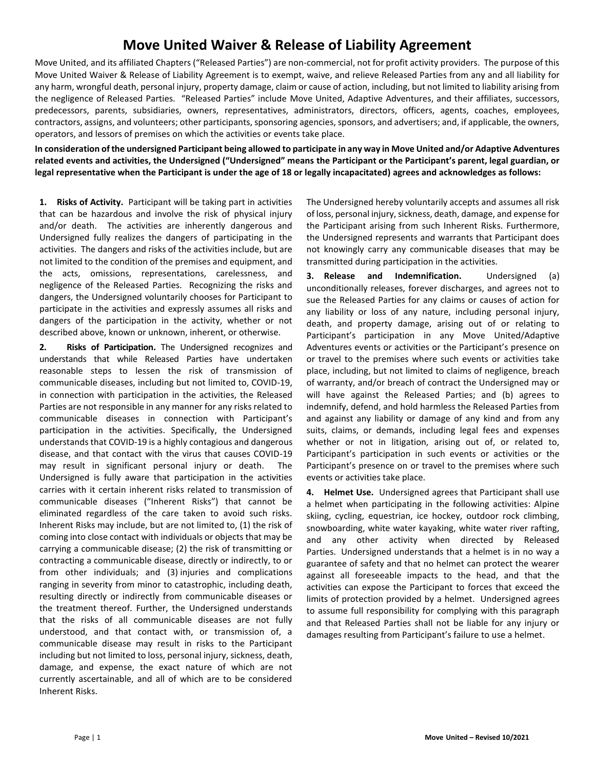# **Move United Waiver & Release of Liability Agreement**

Move United, and its affiliated Chapters ("Released Parties") are non-commercial, not for profit activity providers. The purpose of this Move United Waiver & Release of Liability Agreement is to exempt, waive, and relieve Released Parties from any and all liability for any harm, wrongful death, personal injury, property damage, claim or cause of action, including, but not limited to liability arising from the negligence of Released Parties. "Released Parties" include Move United, Adaptive Adventures, and their affiliates, successors, predecessors, parents, subsidiaries, owners, representatives, administrators, directors, officers, agents, coaches, employees, contractors, assigns, and volunteers; other participants, sponsoring agencies, sponsors, and advertisers; and, if applicable, the owners, operators, and lessors of premises on which the activities or events take place.

**In consideration of the undersigned Participant being allowed to participate in any way in Move United and/or Adaptive Adventures related events and activities, the Undersigned ("Undersigned" means the Participant or the Participant's parent, legal guardian, or legal representative when the Participant is under the age of 18 or legally incapacitated) agrees and acknowledges as follows:**

**1. Risks of Activity.** Participant will be taking part in activities that can be hazardous and involve the risk of physical injury and/or death. The activities are inherently dangerous and Undersigned fully realizes the dangers of participating in the activities. The dangers and risks of the activities include, but are not limited to the condition of the premises and equipment, and the acts, omissions, representations, carelessness, and negligence of the Released Parties. Recognizing the risks and dangers, the Undersigned voluntarily chooses for Participant to participate in the activities and expressly assumes all risks and dangers of the participation in the activity, whether or not described above, known or unknown, inherent, or otherwise.

**2. Risks of Participation.** The Undersigned recognizes and understands that while Released Parties have undertaken reasonable steps to lessen the risk of transmission of communicable diseases, including but not limited to, COVID-19, in connection with participation in the activities, the Released Parties are not responsible in any manner for any risks related to communicable diseases in connection with Participant's participation in the activities. Specifically, the Undersigned understands that COVID-19 is a highly contagious and dangerous disease, and that contact with the virus that causes COVID-19 may result in significant personal injury or death. The Undersigned is fully aware that participation in the activities carries with it certain inherent risks related to transmission of communicable diseases ("Inherent Risks") that cannot be eliminated regardless of the care taken to avoid such risks. Inherent Risks may include, but are not limited to, (1) the risk of coming into close contact with individuals or objects that may be carrying a communicable disease; (2) the risk of transmitting or contracting a communicable disease, directly or indirectly, to or from other individuals; and (3) injuries and complications ranging in severity from minor to catastrophic, including death, resulting directly or indirectly from communicable diseases or the treatment thereof. Further, the Undersigned understands that the risks of all communicable diseases are not fully understood, and that contact with, or transmission of, a communicable disease may result in risks to the Participant including but not limited to loss, personal injury, sickness, death, damage, and expense, the exact nature of which are not currently ascertainable, and all of which are to be considered Inherent Risks.

The Undersigned hereby voluntarily accepts and assumes all risk of loss, personal injury, sickness, death, damage, and expense for the Participant arising from such Inherent Risks. Furthermore, the Undersigned represents and warrants that Participant does not knowingly carry any communicable diseases that may be transmitted during participation in the activities.

**3. Release and Indemnification.** Undersigned (a) unconditionally releases, forever discharges, and agrees not to sue the Released Parties for any claims or causes of action for any liability or loss of any nature, including personal injury, death, and property damage, arising out of or relating to Participant's participation in any Move United/Adaptive Adventures events or activities or the Participant's presence on or travel to the premises where such events or activities take place, including, but not limited to claims of negligence, breach of warranty, and/or breach of contract the Undersigned may or will have against the Released Parties; and (b) agrees to indemnify, defend, and hold harmless the Released Parties from and against any liability or damage of any kind and from any suits, claims, or demands, including legal fees and expenses whether or not in litigation, arising out of, or related to, Participant's participation in such events or activities or the Participant's presence on or travel to the premises where such events or activities take place.

**4. Helmet Use.** Undersigned agrees that Participant shall use a helmet when participating in the following activities: Alpine skiing, cycling, equestrian, ice hockey, outdoor rock climbing, snowboarding, white water kayaking, white water river rafting, and any other activity when directed by Released Parties. Undersigned understands that a helmet is in no way a guarantee of safety and that no helmet can protect the wearer against all foreseeable impacts to the head, and that the activities can expose the Participant to forces that exceed the limits of protection provided by a helmet. Undersigned agrees to assume full responsibility for complying with this paragraph and that Released Parties shall not be liable for any injury or damages resulting from Participant's failure to use a helmet.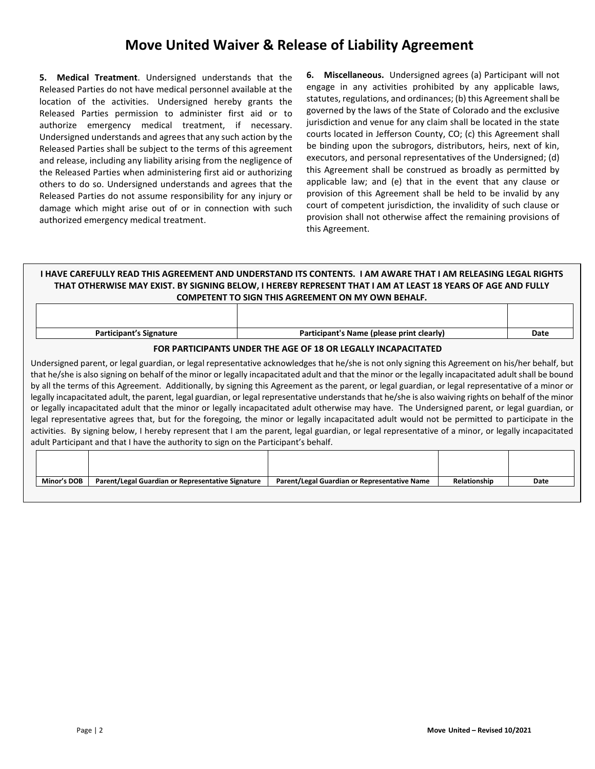## **Move United Waiver & Release of Liability Agreement**

**5. Medical Treatment**. Undersigned understands that the Released Parties do not have medical personnel available at the location of the activities. Undersigned hereby grants the Released Parties permission to administer first aid or to authorize emergency medical treatment, if necessary. Undersigned understands and agrees that any such action by the Released Parties shall be subject to the terms of this agreement and release, including any liability arising from the negligence of the Released Parties when administering first aid or authorizing others to do so. Undersigned understands and agrees that the Released Parties do not assume responsibility for any injury or damage which might arise out of or in connection with such authorized emergency medical treatment.

**6. Miscellaneous.** Undersigned agrees (a) Participant will not engage in any activities prohibited by any applicable laws, statutes, regulations, and ordinances; (b) this Agreement shall be governed by the laws of the State of Colorado and the exclusive jurisdiction and venue for any claim shall be located in the state courts located in Jefferson County, CO; (c) this Agreement shall be binding upon the subrogors, distributors, heirs, next of kin, executors, and personal representatives of the Undersigned; (d) this Agreement shall be construed as broadly as permitted by applicable law; and (e) that in the event that any clause or provision of this Agreement shall be held to be invalid by any court of competent jurisdiction, the invalidity of such clause or provision shall not otherwise affect the remaining provisions of this Agreement.

### **I HAVE CAREFULLY READ THIS AGREEMENT AND UNDERSTAND ITS CONTENTS. I AM AWARE THAT I AM RELEASING LEGAL RIGHTS THAT OTHERWISE MAY EXIST. BY SIGNING BELOW, I HEREBY REPRESENT THAT I AM AT LEAST 18 YEARS OF AGE AND FULLY COMPETENT TO SIGN THIS AGREEMENT ON MY OWN BEHALF.**

| <b>Participant's Signature</b>                                | Participant's Name (please print clearly) | Date |  |  |
|---------------------------------------------------------------|-------------------------------------------|------|--|--|
| FOR PARTICIPANTS UNDER THE AGE OF 18 OR LEGALLY INCAPACITATED |                                           |      |  |  |

Undersigned parent, or legal guardian, or legal representative acknowledges that he/she is not only signing this Agreement on his/her behalf, but that he/she is also signing on behalf of the minor or legally incapacitated adult and that the minor or the legally incapacitated adult shall be bound by all the terms of this Agreement. Additionally, by signing this Agreement as the parent, or legal guardian, or legal representative of a minor or legally incapacitated adult, the parent, legal guardian, or legal representative understands that he/she is also waiving rights on behalf of the minor or legally incapacitated adult that the minor or legally incapacitated adult otherwise may have. The Undersigned parent, or legal guardian, or legal representative agrees that, but for the foregoing, the minor or legally incapacitated adult would not be permitted to participate in the activities. By signing below, I hereby represent that I am the parent, legal guardian, or legal representative of a minor, or legally incapacitated adult Participant and that I have the authority to sign on the Participant's behalf.

| Minor's DOB | Parent/Legal Guardian or Representative Signature | Parent/Legal Guardian or Representative Name | Relationship | Date |
|-------------|---------------------------------------------------|----------------------------------------------|--------------|------|